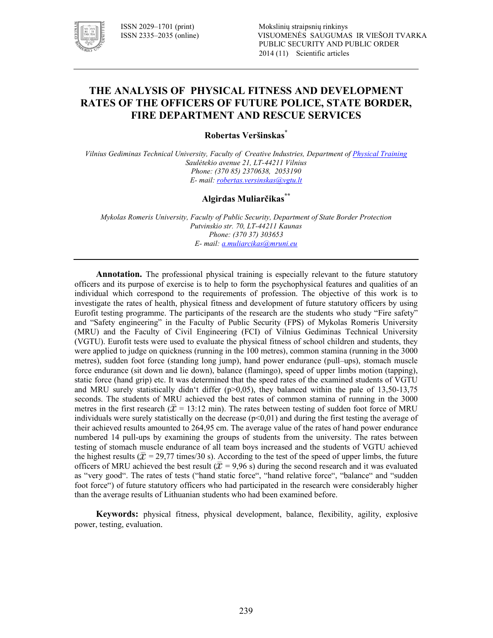

# **THE ANALYSIS OF PHYSICAL FITNESS AND DEVELOPMENT RATES OF THE OFFICERS OF FUTURE POLICE, STATE BORDER, FIRE DEPARTMENT AND RESCUE SERVICES**

**Robertas Veršinskas\***

*Vilnius Gediminas Technical University, Faculty of Creative Industries, Department of Physical Training* Saulėtekio avenue 21, LT-44211 Vilnius *Phone: (370 85) 2370638, 2053190 E! mail: robertas.versinskas@vgtu.lt*

# **Algirdas Muliarčikas\*\***

*Mykolas Romeris University, Faculty of Public Security, Department of State Border Protection*  Putvinskio str. 70, LT-44211 Kaunas *Phone: (370 37) 303653 E! mail: a.muliarcikas@mruni.eu*

**Annotation.** The professional physical training is especially relevant to the future statutory officers and its purpose of exercise is to help to form the psychophysical features and qualities of an individual which correspond to the requirements of profession. The objective of this work is to investigate the rates of health, physical fitness and development of future statutory officers by using Eurofit testing programme. The participants of the research are the students who study "Fire safety" and "Safety engineering" in the Faculty of Public Security (FPS) of Mykolas Romeris University (MRU) and the Faculty of Civil Engineering (FCI) of Vilnius Gediminas Technical University (VGTU). Eurofit tests were used to evaluate the physical fitness of school children and students, they were applied to judge on quickness (running in the 100 metres), common stamina (running in the 3000 metres), sudden foot force (standing long jump), hand power endurance (pull–ups), stomach muscle force endurance (sit down and lie down), balance (flamingo), speed of upper limbs motion (tapping), static force (hand grip) etc. It was determined that the speed rates of the examined students of VGTU and MRU surely statistically didn't differ ( $p>0,05$ ), they balanced within the pale of 13,50-13,75 seconds. The students of MRU achieved the best rates of common stamina of running in the 3000 metres in the first research ( $\bar{x}$  = 13:12 min). The rates between testing of sudden foot force of MRU individuals were surely statistically on the decrease  $(p<0,01)$  and during the first testing the average of their achieved results amounted to 264,95 cm. The average value of the rates of hand power endurance numbered 14 pull-ups by examining the groups of students from the university. The rates between testing of stomach muscle endurance of all team boys increased and the students of VGTU achieved the highest results ( $\bar{x}$  = 29,77 times/30 s). According to the test of the speed of upper limbs, the future officers of MRU achieved the best result ( $\bar{x}$  = 9,96 s) during the second research and it was evaluated as "very good". The rates of tests ("hand static force", "hand relative force", "balance" and "sudden foot force") of future statutory officers who had participated in the research were considerably higher than the average results of Lithuanian students who had been examined before.

**Keywords:** physical fitness, physical development, balance, flexibility, agility, explosive power, testing, evaluation.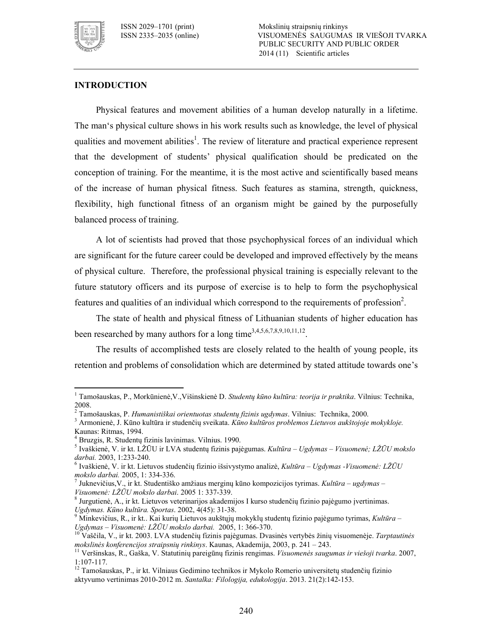

 $\ddot{\phantom{a}}$ 

ISSN 2029–1701 (print) Mokslinių straipsnių rinkinys VISUOMENĖS SAUGUMAS IR VIEŠOJI TVARKA PUBLIC SECURITY AND PUBLIC ORDER 2014 (11) Scientific articles

## **INTRODUCTION**

Physical features and movement abilities of a human develop naturally in a lifetime. The man's physical culture shows in his work results such as knowledge, the level of physical qualities and movement abilities<sup>1</sup>. The review of literature and practical experience represent that the development of students' physical qualification should be predicated on the conception of training. For the meantime, it is the most active and scientifically based means of the increase of human physical fitness. Such features as stamina, strength, quickness, flexibility, high functional fitness of an organism might be gained by the purposefully balanced process of training.

A lot of scientists had proved that those psychophysical forces of an individual which are significant for the future career could be developed and improved effectively by the means of physical culture. Therefore, the professional physical training is especially relevant to the future statutory officers and its purpose of exercise is to help to form the psychophysical features and qualities of an individual which correspond to the requirements of profession<sup>2</sup>.

The state of health and physical fitness of Lithuanian students of higher education has been researched by many authors for a long time<sup>3,4,5,6,7,8,9,10,11,12</sup>.

The results of accomplished tests are closely related to the health of young people, its retention and problems of consolidation which are determined by stated attitude towards one's

<sup>1</sup> Tamošauskas, P., Morkūnienė,V.,Višinskienė D. *Studentų kūno kultūra: teorija ir praktika*. Vilnius: Technika, 2008.

<sup>2</sup> Tamošauskas, P. *Humanistiškai orientuotas studentų fizinis ugdymas*. Vilnius: Technika, 2000.

<sup>3</sup> Armonienė, J. Kūno kultūra ir studenčių sveikata. *Kūno kultūros problemos Lietuvos aukštojoje mokykloje.* Kaunas: Ritmas, 1994.

<sup>4</sup> Bruzgis, R. Studentų fizinis lavinimas. Vilnius. 1990.

<sup>5</sup> Ivaškienė, V. ir kt. LŽŪU ir LVA studentų fizinis pajėgumas. *Kultūra – Ugdymas – Visuomenė; LŽŪU mokslo*  darbai. 2003, 1:233-240.

<sup>&</sup>lt;sup>6</sup> Ivaškienė, V. ir kt. Lietuvos studenčių fizinio išsivystymo analizė, *Kultūra – Ugdymas -Visuomenė: LŽŪU mokslo darbai.* 2005, 1: 334336.

<sup>7</sup> Juknevičius,V., ir kt. Studentiško amžiaus merginų kūno kompozicijos tyrimas. *Kultūra – ugdymas –*  Visuomenė: LŽŪU mokslo darbai. 2005 1: 337-339.

<sup>&</sup>lt;sup>8</sup> Jurgutienė, A., ir kt. Lietuvos veterinarijos akademijos I kurso studenčių fizinio pajėgumo įvertinimas. Ugdymas. Kūno kultūra. Sportas. 2002, 4(45): 31-38.

<sup>9</sup> Minkevičius, R., ir kt.. Kai kurių Lietuvos aukštųjų mokyklų studentų fizinio pajėgumo tyrimas, *Kultūra – Ugdymas – Visuomenė: LŽŪU mokslo darbai.* 2005, 1: 366-370.

<sup>10</sup> Vaščila, V., ir kt. 2003. LVA studenčių fizinis pajėgumas. Dvasinės vertybės žinių visuomenėje. *Tarptautinės mokslinės konferencijos straipsnių rinkinys*. Kaunas, Akademija, 2003, p. 241 – 243.

<sup>11</sup> Veršinskas, R., Gaška, V. Statutinių pareigūnų fizinis rengimas. *Visuomenės saugumas ir viešoji tvarka*. 2007, 1:107117.

<sup>&</sup>lt;sup>12</sup> Tamošauskas, P., ir kt. Vilniaus Gedimino technikos ir Mykolo Romerio universitetų studenčių fizinio aktyvumo vertinimas 20102012 m. *Santalka: Filologija, edukologija*. 2013. 21(2):142153.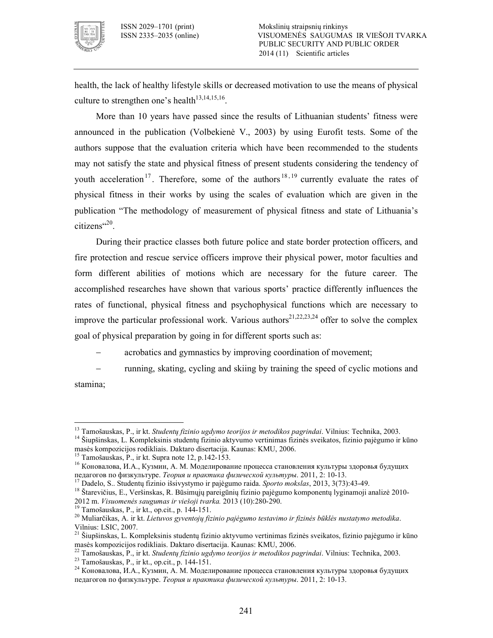

health, the lack of healthy lifestyle skills or decreased motivation to use the means of physical culture to strengthen one's health<sup>13,14,15,16</sup>.

More than 10 years have passed since the results of Lithuanian students' fitness were announced in the publication (Volbekienė V., 2003) by using Eurofit tests. Some of the authors suppose that the evaluation criteria which have been recommended to the students may not satisfy the state and physical fitness of present students considering the tendency of youth acceleration<sup>17</sup>. Therefore, some of the authors<sup>18, 19</sup> currently evaluate the rates of physical fitness in their works by using the scales of evaluation which are given in the publication "The methodology of measurement of physical fitness and state of Lithuania's  $citizens$ <sup> $c20$ </sup>.

During their practice classes both future police and state border protection officers, and fire protection and rescue service officers improve their physical power, motor faculties and form different abilities of motions which are necessary for the future career. The accomplished researches have shown that various sports' practice differently influences the rates of functional, physical fitness and psychophysical functions which are necessary to improve the particular professional work. Various authors<sup>21,22,23,24</sup> offer to solve the complex goal of physical preparation by going in for different sports such as:

acrobatics and gymnastics by improving coordination of movement;

running, skating, cycling and skiing by training the speed of cyclic motions and

stamina;

 $\ddot{\phantom{a}}$ 

<sup>13</sup> Tamošauskas, P., ir kt. *Studentų fizinio ugdymo teorijos ir metodikos pagrindai*. Vilnius: Technika, 2003.

<sup>14</sup> Šiupšinskas, L. Kompleksinis studentų fizinio aktyvumo vertinimas fizinės sveikatos, fizinio pajėgumo ir kūno masės kompozicijos rodikliais. Daktaro disertacija. Kaunas: KMU, 2006.

<sup>&</sup>lt;sup>15</sup> Tamošauskas, P., ir kt. Supra note 12, p.142-153.

<sup>16</sup> Коновалова, И.А., Кузмин, А. М. Моделирование процесса становления культуры здоровья будущих педагогов по физкультуре. *Теория и практика физической культуры*. 2011, 2: 10-13.

<sup>17</sup> Dadelo, S.. Studentų fizinio išsivystymo ir pajėgumo raida. *Sporto mokslas*, 2013, 3(73):4349.

<sup>18</sup> Štarevičius, E., Veršinskas, R. Būsimųjų pareigūnių fizinio pajėgumo komponentų lyginamoji analizė 2010 2012 m. *Visuomenės saugumas ir viešoji tvarka.* 2013 (10):280-290.<br><sup>19</sup> Tamošauskas D. in literatūris 144,151.

Tamošauskas, P., ir kt., op.cit., p. 144-151.

<sup>20</sup> Muliarčikas, A. ir kt. *Lietuvos gyventojų fizinio pajėgumo testavimo ir fizinės būklės nustatymo metodika*. Vilnius: LSIC, 2007.

<sup>&</sup>lt;sup>21</sup> Šiupšinskas, L. Kompleksinis studentų fizinio aktyvumo vertinimas fizinės sveikatos, fizinio pajėgumo ir kūno masės kompozicijos rodikliais. Daktaro disertacija. Kaunas: KMU, 2006.

<sup>22</sup> Tamošauskas, P., ir kt. *Studentų fizinio ugdymo teorijos ir metodikos pagrindai*. Vilnius: Technika, 2003.

<sup>&</sup>lt;sup>23</sup> Tamošauskas, P., ir kt., op.cit., p. 144-151.

<sup>24</sup> Коновалова, И.А., Кузмин, А. М. Моделирование процесса становления культуры здоровья будущих педагогов по физкультуре. *Теория и практика физической культуры*. 2011, 2: 1013.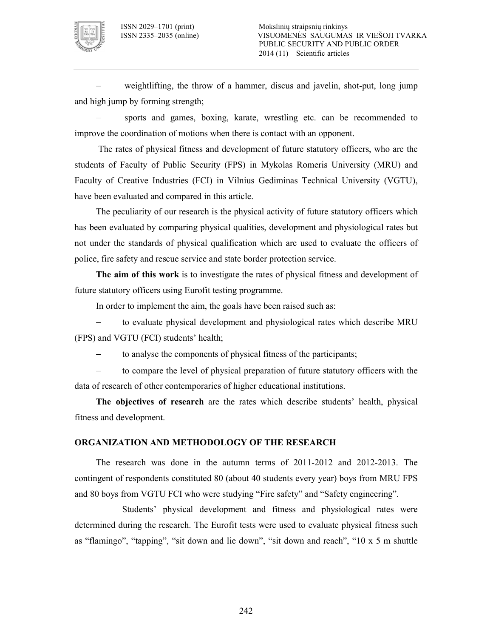

weightlifting, the throw of a hammer, discus and javelin, shot-put, long jump and high jump by forming strength;

sports and games, boxing, karate, wrestling etc. can be recommended to improve the coordination of motions when there is contact with an opponent.

 The rates of physical fitness and development of future statutory officers, who are the students of Faculty of Public Security (FPS) in Mykolas Romeris University (MRU) and Faculty of Creative Industries (FCI) in Vilnius Gediminas Technical University (VGTU), have been evaluated and compared in this article.

The peculiarity of our research is the physical activity of future statutory officers which has been evaluated by comparing physical qualities, development and physiological rates but not under the standards of physical qualification which are used to evaluate the officers of police, fire safety and rescue service and state border protection service.

**The aim of this work** is to investigate the rates of physical fitness and development of future statutory officers using Eurofit testing programme.

In order to implement the aim, the goals have been raised such as:

to evaluate physical development and physiological rates which describe MRU (FPS) and VGTU (FCI) students' health;

to analyse the components of physical fitness of the participants;

to compare the level of physical preparation of future statutory officers with the data of research of other contemporaries of higher educational institutions.

**The objectives of research** are the rates which describe students' health, physical fitness and development.

#### **ORGANIZATION AND METHODOLOGY OF THE RESEARCH**

The research was done in the autumn terms of  $2011-2012$  and  $2012-2013$ . The contingent of respondents constituted 80 (about 40 students every year) boys from MRU FPS and 80 boys from VGTU FCI who were studying "Fire safety" and "Safety engineering".

 Students' physical development and fitness and physiological rates were determined during the research. The Eurofit tests were used to evaluate physical fitness such as "flamingo", "tapping", "sit down and lie down", "sit down and reach", "10 x 5 m shuttle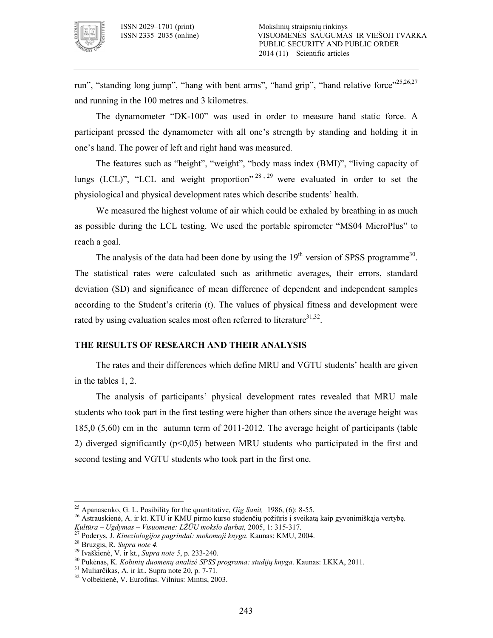

run", "standing long jump", "hang with bent arms", "hand grip", "hand relative force"<sup>25,26,27</sup> and running in the 100 metres and 3 kilometres.

The dynamometer "DK-100" was used in order to measure hand static force. A participant pressed the dynamometer with all one's strength by standing and holding it in one's hand. The power of left and right hand was measured.

The features such as "height", "weight", "body mass index (BMI)", "living capacity of lungs (LCL)", "LCL and weight proportion"  $28, 29$  were evaluated in order to set the physiological and physical development rates which describe students' health.

We measured the highest volume of air which could be exhaled by breathing in as much as possible during the LCL testing. We used the portable spirometer "MS04 MicroPlus" to reach a goal.

The analysis of the data had been done by using the  $19<sup>th</sup>$  version of SPSS programme<sup>30</sup>. The statistical rates were calculated such as arithmetic averages, their errors, standard deviation (SD) and significance of mean difference of dependent and independent samples according to the Student's criteria (t). The values of physical fitness and development were rated by using evaluation scales most often referred to literature<sup>31,32</sup>.

## **THE RESULTS OF RESEARCH AND THEIR ANALYSIS**

The rates and their differences which define MRU and VGTU students' health are given in the tables 1, 2.

The analysis of participants' physical development rates revealed that MRU male students who took part in the first testing were higher than others since the average height was 185,0  $(5,60)$  cm in the autumn term of 2011-2012. The average height of participants (table 2) diverged significantly ( $p<0.05$ ) between MRU students who participated in the first and second testing and VGTU students who took part in the first one.

 $\overline{\phantom{a}}$ 

<sup>&</sup>lt;sup>25</sup> Apanasenko, G. L. Posibility for the quantitative, *Gig Sanit*, 1986, (6): 8-55.

<sup>&</sup>lt;sup>26</sup> Astrauskienė, A. ir kt. KTU ir KMU pirmo kurso studenčių požiūris į sveikatą kaip gyvenimiškąją vertybę. *Kultūra – Ugdymas – Visuomenė: LŽŪU mokslo darbai,* 2005, 1: 315317.

<sup>27</sup> Poderys, J. *Kineziologijos pagrindai: mokomoji knyga.* Kaunas: KMU, 2004.

<sup>28</sup> Bruzgis, R. *Supra note 4.*

<sup>&</sup>lt;sup>29</sup> Ivaškienė, V. ir kt., *Supra note 5*, p. 233-240.

<sup>30</sup> Pukėnas, K. *Kobinių duomenų analizė SPSS programa: studijų knyga*. Kaunas: LKKA, 2011.

 $31$  Muliarčikas, A. ir kt., Supra note 20, p. 7-71.

<sup>32</sup> Volbekienė, V. Eurofitas. Vilnius: Mintis, 2003.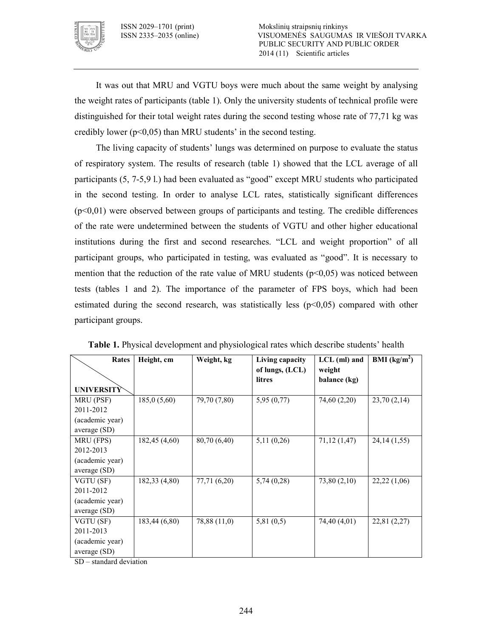

It was out that MRU and VGTU boys were much about the same weight by analysing the weight rates of participants (table 1). Only the university students of technical profile were distinguished for their total weight rates during the second testing whose rate of 77,71 kg was credibly lower ( $p<0,05$ ) than MRU students' in the second testing.

The living capacity of students' lungs was determined on purpose to evaluate the status of respiratory system. The results of research (table 1) showed that the LCL average of all participants (5, 75,9 l.) had been evaluated as "good" except MRU students who participated in the second testing. In order to analyse LCL rates, statistically significant differences  $(p<0,01)$  were observed between groups of participants and testing. The credible differences of the rate were undetermined between the students of VGTU and other higher educational institutions during the first and second researches. "LCL and weight proportion" of all participant groups, who participated in testing, was evaluated as "good". It is necessary to mention that the reduction of the rate value of MRU students ( $p<0,05$ ) was noticed between tests (tables 1 and 2). The importance of the parameter of FPS boys, which had been estimated during the second research, was statistically less  $(p<0,05)$  compared with other participant groups.

| Rates             | Height, cm    | Weight, kg   | Living capacity<br>of lungs, (LCL) | $LCL$ (ml) and<br>weight | <b>BMI</b> ( $kg/m2$ ) |
|-------------------|---------------|--------------|------------------------------------|--------------------------|------------------------|
| <b>UNIVERSITY</b> |               |              | <b>litres</b>                      | balance (kg)             |                        |
| MRU (PSF)         | 185,0(5,60)   | 79,70 (7,80) | 5,95(0,77)                         | 74,60 (2,20)             | 23,70(2,14)            |
| 2011-2012         |               |              |                                    |                          |                        |
| (academic year)   |               |              |                                    |                          |                        |
| average (SD)      |               |              |                                    |                          |                        |
| MRU (FPS)         | 182,45(4,60)  | 80,70 (6,40) | 5,11(0,26)                         | 71,12(1,47)              | 24, 14 (1, 55)         |
| 2012-2013         |               |              |                                    |                          |                        |
| (academic year)   |               |              |                                    |                          |                        |
| average (SD)      |               |              |                                    |                          |                        |
| VGTU (SF)         | 182,33 (4,80) | 77,71 (6,20) | 5,74(0,28)                         | 73,80(2,10)              | 22,22(1,06)            |
| 2011-2012         |               |              |                                    |                          |                        |
| (academic year)   |               |              |                                    |                          |                        |
| average (SD)      |               |              |                                    |                          |                        |
| VGTU (SF)         | 183,44(6,80)  | 78,88 (11,0) | 5,81(0,5)                          | 74,40 (4,01)             | 22,81 $(2,27)$         |
| 2011-2013         |               |              |                                    |                          |                        |
| (academic year)   |               |              |                                    |                          |                        |
| average (SD)      |               |              |                                    |                          |                        |

**Table 1.** Physical development and physiological rates which describe students' health

SD – standard deviation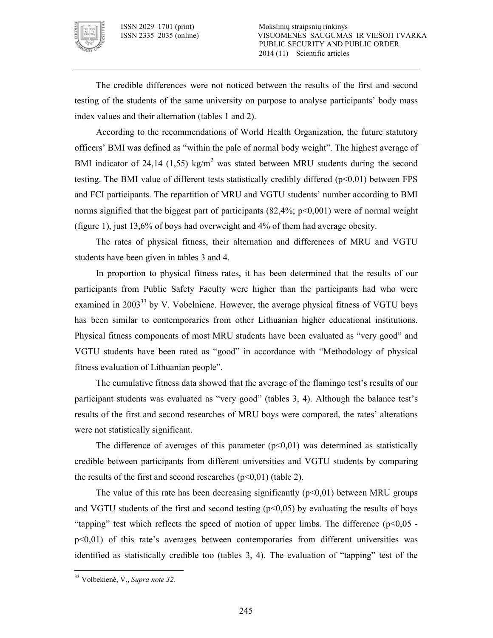

The credible differences were not noticed between the results of the first and second testing of the students of the same university on purpose to analyse participants' body mass index values and their alternation (tables 1 and 2).

According to the recommendations of World Health Organization, the future statutory officers' BMI was defined as "within the pale of normal body weight". The highest average of BMI indicator of 24,14 (1,55) kg/m<sup>2</sup> was stated between MRU students during the second testing. The BMI value of different tests statistically credibly differed  $(p<0,01)$  between FPS and FCI participants. The repartition of MRU and VGTU students' number according to BMI norms signified that the biggest part of participants  $(82,4\%; p<0,001)$  were of normal weight (figure 1), just 13,6% of boys had overweight and 4% of them had average obesity.

The rates of physical fitness, their alternation and differences of MRU and VGTU students have been given in tables 3 and 4.

In proportion to physical fitness rates, it has been determined that the results of our participants from Public Safety Faculty were higher than the participants had who were examined in 2003<sup>33</sup> by V. Vobelniene. However, the average physical fitness of VGTU boys has been similar to contemporaries from other Lithuanian higher educational institutions. Physical fitness components of most MRU students have been evaluated as "very good" and VGTU students have been rated as "good" in accordance with "Methodology of physical fitness evaluation of Lithuanian people".

The cumulative fitness data showed that the average of the flamingo test's results of our participant students was evaluated as "very good" (tables 3, 4). Although the balance test's results of the first and second researches of MRU boys were compared, the rates' alterations were not statistically significant.

The difference of averages of this parameter  $(p<0.01)$  was determined as statistically credible between participants from different universities and VGTU students by comparing the results of the first and second researches  $(p<0,01)$  (table 2).

The value of this rate has been decreasing significantly  $(p<0.01)$  between MRU groups and VGTU students of the first and second testing  $(p<0.05)$  by evaluating the results of boys "tapping" test which reflects the speed of motion of upper limbs. The difference ( $p<0.05$  p<0,01) of this rate's averages between contemporaries from different universities was identified as statistically credible too (tables 3, 4). The evaluation of "tapping" test of the

 $\ddot{\phantom{a}}$ 

<sup>33</sup> Volbekienė, V., *Supra note 32.*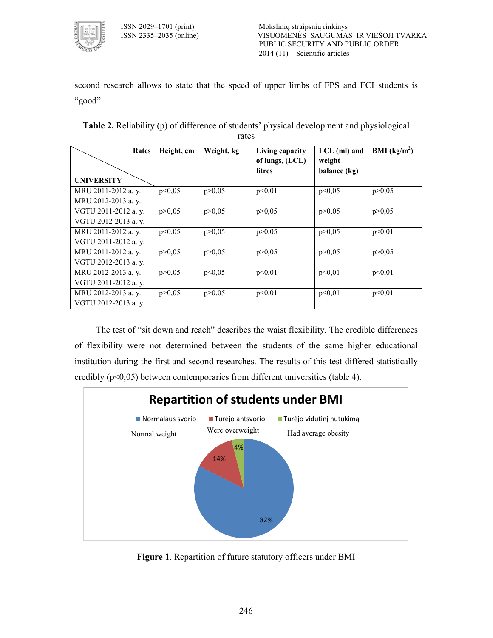

second research allows to state that the speed of upper limbs of FPS and FCI students is "good".

| Rates                | Height, cm | Weight, kg | Living capacity<br>of lungs, (LCL)<br><b>litres</b> | $LCL$ (ml) and<br>weight<br>balance (kg) | BMI $(kg/m2)$ |
|----------------------|------------|------------|-----------------------------------------------------|------------------------------------------|---------------|
| <b>UNIVERSITY</b>    |            |            |                                                     |                                          |               |
| MRU 2011-2012 a. y.  | p<0,05     | p > 0,05   | p<0,01                                              | p<0,05                                   | p > 0.05      |
| MRU 2012-2013 a. y.  |            |            |                                                     |                                          |               |
| VGTU 2011-2012 a.v.  | p > 0.05   | p > 0.05   | p > 0.05                                            | p > 0.05                                 | p > 0.05      |
| VGTU 2012-2013 a. y. |            |            |                                                     |                                          |               |
| MRU 2011-2012 a. y.  | p<0,05     | p > 0,05   | p > 0,05                                            | p > 0.05                                 | p<0,01        |
| VGTU 2011-2012 a. y. |            |            |                                                     |                                          |               |
| MRU 2011-2012 a. y.  | p > 0.05   | p > 0.05   | p > 0.05                                            | p > 0.05                                 | p > 0,05      |
| VGTU 2012-2013 a. y. |            |            |                                                     |                                          |               |
| MRU 2012-2013 a. y.  | p > 0.05   | p<0,05     | p<0.01                                              | p<0.01                                   | p<0,01        |
| VGTU 2011-2012 a. y. |            |            |                                                     |                                          |               |
| MRU 2012-2013 a. y.  | p > 0,05   | p > 0.05   | p<0.01                                              | p<0,01                                   | p<0,01        |
| VGTU 2012-2013 a. v. |            |            |                                                     |                                          |               |

**Table 2.** Reliability (p) of difference of students' physical development and physiological rates

The test of "sit down and reach" describes the waist flexibility. The credible differences of flexibility were not determined between the students of the same higher educational institution during the first and second researches. The results of this test differed statistically credibly  $(p<0.05)$  between contemporaries from different universities (table 4).



**Figure 1**. Repartition of future statutory officers under BMI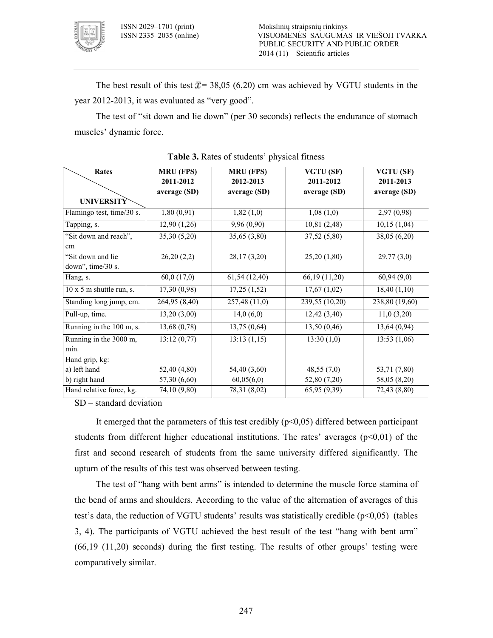

The best result of this test  $\bar{x}$  = 38,05 (6,20) cm was achieved by VGTU students in the year 2012-2013, it was evaluated as "very good".

The test of "sit down and lie down" (per 30 seconds) reflects the endurance of stomach muscles' dynamic force.

| Rates                           | <b>MRU (FPS)</b> | <b>MRU (FPS)</b> | VGTU (SF)       | VGTU (SF)      |
|---------------------------------|------------------|------------------|-----------------|----------------|
|                                 | 2011-2012        | 2012-2013        | 2011-2012       | 2011-2013      |
|                                 | average (SD)     | average (SD)     | average (SD)    | average (SD)   |
| <b>UNIVERSITY</b>               |                  |                  |                 |                |
| Flamingo test, time/30 s.       | 1,80(0,91)       | 1,82(1,0)        | 1,08(1,0)       | 2,97(0,98)     |
| Tapping, s.                     | 12,90(1,26)      | 9,96 (0,90)      | 10,81(2,48)     | 10,15(1,04)    |
| "Sit down and reach",           | 35,30(5,20)      | 35,65(3,80)      | 37,52 (5,80)    | 38,05(6,20)    |
| cm                              |                  |                  |                 |                |
| "Sit down and lie               | 26,20(2,2)       | 28, 17 (3, 20)   | 25,20(1,80)     | 29,77(3,0)     |
| down", time/30 s.               |                  |                  |                 |                |
| Hang, s.                        | 60,0(17,0)       | 61,54 (12,40)    | 66, 19 (11, 20) | 60,94(9,0)     |
| $10 \times 5$ m shuttle run, s. | 17,30(0,98)      | 17,25(1,52)      | 17,67(1,02)     | 18,40(1,10)    |
| Standing long jump, cm.         | 264,95 (8,40)    | 257,48 (11,0)    | 239,55 (10,20)  | 238,80 (19,60) |
| Pull-up, time.                  | 13,20(3,00)      | 14,0(6,0)        | 12,42(3,40)     | 11,0(3,20)     |
| Running in the 100 m, s.        | 13,68(0,78)      | 13,75(0,64)      | 13,50(0,46)     | 13,64(0,94)    |
| Running in the 3000 m,          | 13:12(0,77)      | 13:13(1,15)      | 13:30(1,0)      | 13:53(1,06)    |
| min.                            |                  |                  |                 |                |
| Hand grip, kg:                  |                  |                  |                 |                |
| a) left hand                    | 52,40 (4,80)     | 54,40 (3,60)     | 48,55(7,0)      | 53,71 (7,80)   |
| b) right hand                   | 57,30 (6,60)     | 60,05(6,0)       | 52,80 (7,20)    | 58,05 (8,20)   |
| Hand relative force, kg.        | 74,10 (9,80)     | 78,31 (8,02)     | 65,95 (9,39)    | 72,43 (8,80)   |

| Table 3. Rates of students' physical fitness |  |  |  |  |  |
|----------------------------------------------|--|--|--|--|--|
|----------------------------------------------|--|--|--|--|--|

SD – standard deviation

It emerged that the parameters of this test credibly  $(p<0,05)$  differed between participant students from different higher educational institutions. The rates' averages  $(p<0.01)$  of the first and second research of students from the same university differed significantly. The upturn of the results of this test was observed between testing.

The test of "hang with bent arms" is intended to determine the muscle force stamina of the bend of arms and shoulders. According to the value of the alternation of averages of this test's data, the reduction of VGTU students' results was statistically credible  $(p<0.05)$  (tables 3, 4). The participants of VGTU achieved the best result of the test "hang with bent arm" (66,19 (11,20) seconds) during the first testing. The results of other groups' testing were comparatively similar.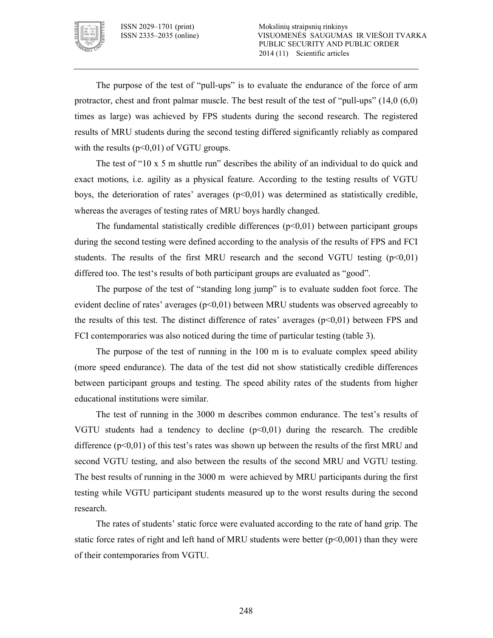

The purpose of the test of "pull-ups" is to evaluate the endurance of the force of arm protractor, chest and front palmar muscle. The best result of the test of "pull-ups"  $(14,0, (6,0))$ times as large) was achieved by FPS students during the second research. The registered results of MRU students during the second testing differed significantly reliably as compared with the results  $(p<0,01)$  of VGTU groups.

The test of "10 x 5 m shuttle run" describes the ability of an individual to do quick and exact motions, i.e. agility as a physical feature. According to the testing results of VGTU boys, the deterioration of rates' averages  $(p<0,01)$  was determined as statistically credible, whereas the averages of testing rates of MRU boys hardly changed.

The fundamental statistically credible differences  $(p<0,01)$  between participant groups during the second testing were defined according to the analysis of the results of FPS and FCI students. The results of the first MRU research and the second VGTU testing  $(p<0.01)$ differed too. The test's results of both participant groups are evaluated as "good".

The purpose of the test of "standing long jump" is to evaluate sudden foot force. The evident decline of rates' averages (p<0,01) between MRU students was observed agreeably to the results of this test. The distinct difference of rates' averages  $(p<0,01)$  between FPS and FCI contemporaries was also noticed during the time of particular testing (table 3).

The purpose of the test of running in the 100 m is to evaluate complex speed ability (more speed endurance). The data of the test did not show statistically credible differences between participant groups and testing. The speed ability rates of the students from higher educational institutions were similar.

The test of running in the 3000 m describes common endurance. The test's results of VGTU students had a tendency to decline  $(p<0,01)$  during the research. The credible difference  $(p<0.01)$  of this test's rates was shown up between the results of the first MRU and second VGTU testing, and also between the results of the second MRU and VGTU testing. The best results of running in the 3000 m were achieved by MRU participants during the first testing while VGTU participant students measured up to the worst results during the second research.

The rates of students' static force were evaluated according to the rate of hand grip. The static force rates of right and left hand of MRU students were better  $(p<0,001)$  than they were of their contemporaries from VGTU.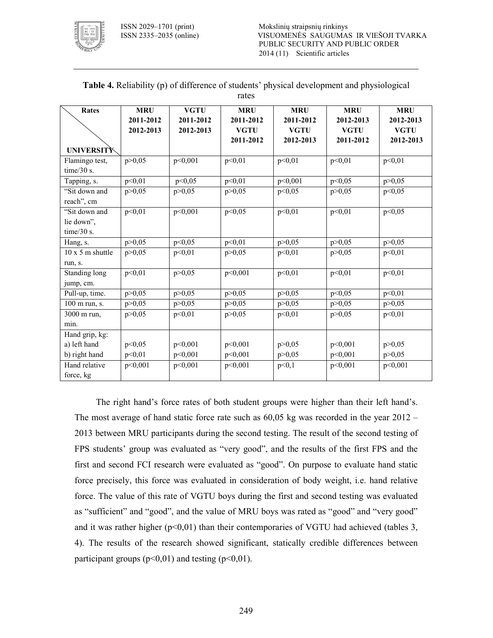

| <b>Rates</b>            | <b>MRU</b> | <b>VGTU</b> | <b>MRU</b>  | <b>MRU</b>  | <b>MRU</b>  | <b>MRU</b>  |
|-------------------------|------------|-------------|-------------|-------------|-------------|-------------|
|                         | 2011-2012  | 2011-2012   | 2011-2012   | 2011-2012   | 2012-2013   | 2012-2013   |
|                         | 2012-2013  | 2012-2013   | <b>VGTU</b> | <b>VGTU</b> | <b>VGTU</b> | <b>VGTU</b> |
|                         |            |             | 2011-2012   | 2012-2013   | 2011-2012   | 2012-2013   |
| UNIVERSITY              |            |             |             |             |             |             |
| Flamingo test,          | p > 0.05   | p<0,001     | p<0.01      | p<0.01      | p<0.01      | p<0.01      |
| time/30 s.              |            |             |             |             |             |             |
| Tapping, s.             | p<0,01     | p<0,05      | p<0,01      | p<0,001     | p<0,05      | p > 0,05    |
| "Sit down and           | p > 0.05   | p > 0.05    | p > 0,05    | p<0,05      | p > 0,05    | p<0,05      |
| reach", cm              |            |             |             |             |             |             |
| "Sit down and           | p<0,01     | p<0,001     | p<0,05      | p<0,01      | p<0,01      | p<0,05      |
| lie down",              |            |             |             |             |             |             |
| time/ $30$ s.           |            |             |             |             |             |             |
| Hang, s.                | p > 0,05   | p < 0,05    | p<0,01      | p > 0,05    | p > 0,05    | p > 0,05    |
| $10 \times 5$ m shuttle | p > 0.05   | p<0,01      | p > 0,05    | p<0,01      | p > 0,05    | p<0,01      |
| run, s.                 |            |             |             |             |             |             |
| Standing long           | p<0,01     | p > 0,05    | p<0,001     | p<0,01      | p<0,01      | p<0,01      |
| jump, cm.               |            |             |             |             |             |             |
| Pull-up, time.          | p > 0,05   | p > 0,05    | p > 0,05    | p > 0,05    | p<0,05      | p<0,01      |
| 100 m run, s.           | p > 0,05   | p > 0,05    | p > 0,05    | p > 0,05    | p > 0,05    | p > 0,05    |
| 3000 m run,             | p > 0,05   | p<0,01      | p > 0,05    | p<0,01      | p > 0,05    | p<0,01      |
| min.                    |            |             |             |             |             |             |
| Hand grip, kg:          |            |             |             |             |             |             |
| a) left hand            | p<0,05     | p<0,001     | p<0,001     | p > 0,05    | p<0,001     | p > 0,05    |
| b) right hand           | p<0,01     | p<0,001     | p<0,001     | p > 0,05    | p<0,001     | p > 0,05    |
| Hand relative           | p<0,001    | p<0,001     | p<0,001     | p<0,1       | p<0,001     | p<0,001     |
| force, kg               |            |             |             |             |             |             |

**Table 4.** Reliability (p) of difference of students' physical development and physiological rates

The right hand's force rates of both student groups were higher than their left hand's. The most average of hand static force rate such as 60,05 kg was recorded in the year 2012 – 2013 between MRU participants during the second testing. The result of the second testing of FPS students' group was evaluated as "very good", and the results of the first FPS and the first and second FCI research were evaluated as "good". On purpose to evaluate hand static force precisely, this force was evaluated in consideration of body weight, i.e. hand relative force. The value of this rate of VGTU boys during the first and second testing was evaluated as "sufficient" and "good", and the value of MRU boys was rated as "good" and "very good" and it was rather higher  $(p<0,01)$  than their contemporaries of VGTU had achieved (tables 3, 4). The results of the research showed significant, statically credible differences between participant groups  $(p<0,01)$  and testing  $(p<0,01)$ .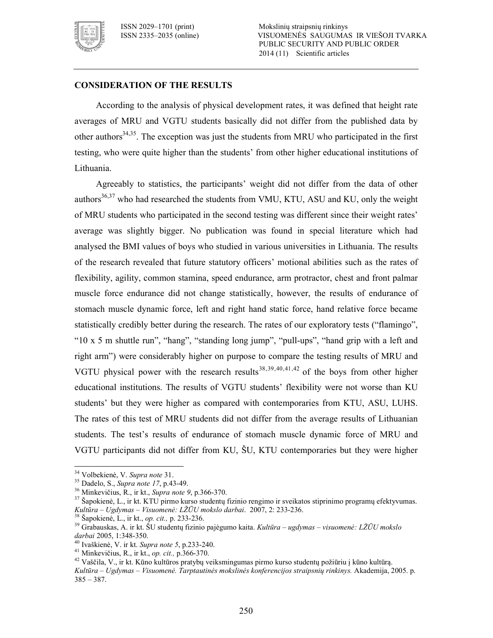

### **CONSIDERATION OF THE RESULTS**

According to the analysis of physical development rates, it was defined that height rate averages of MRU and VGTU students basically did not differ from the published data by other authors $34,35$ . The exception was just the students from MRU who participated in the first testing, who were quite higher than the students' from other higher educational institutions of Lithuania.

Agreeably to statistics, the participants' weight did not differ from the data of other authors $36,37$  who had researched the students from VMU, KTU, ASU and KU, only the weight of MRU students who participated in the second testing was different since their weight rates' average was slightly bigger. No publication was found in special literature which had analysed the BMI values of boys who studied in various universities in Lithuania. The results of the research revealed that future statutory officers' motional abilities such as the rates of flexibility, agility, common stamina, speed endurance, arm protractor, chest and front palmar muscle force endurance did not change statistically, however, the results of endurance of stomach muscle dynamic force, left and right hand static force, hand relative force became statistically credibly better during the research. The rates of our exploratory tests ("flamingo", " $10 \times 5$  m shuttle run", "hang", "standing long jump", "pull-ups", "hand grip with a left and right arm") were considerably higher on purpose to compare the testing results of MRU and VGTU physical power with the research results<sup>38,39,40,41,42</sup> of the boys from other higher educational institutions. The results of VGTU students' flexibility were not worse than KU students' but they were higher as compared with contemporaries from KTU, ASU, LUHS. The rates of this test of MRU students did not differ from the average results of Lithuanian students. The test's results of endurance of stomach muscle dynamic force of MRU and VGTU participants did not differ from KU, ŠU, KTU contemporaries but they were higher

 $\ddot{\phantom{a}}$ 

<sup>34</sup> Volbekienė, V. *Supra note* 31.

<sup>&</sup>lt;sup>35</sup> Dadelo, S., *Supra note 17*, p.43-49.

<sup>&</sup>lt;sup>36</sup> Minkevičius, R., ir kt., *Supra note 9*, p.366-370.

<sup>37</sup> Šapokienė, L., ir kt. KTU pirmo kurso studentų fizinio rengimo ir sveikatos stiprinimo programų efektyvumas. *Kultūra – Ugdymas – Visuomenė: LŽŪU mokslo darbai*. 2007, 2: 233236.

<sup>&</sup>lt;sup>38</sup> Šapokienė, L., ir kt., *op. cit.*, p. 233-236.

<sup>39</sup> Grabauskas, A. ir kt. ŠU studentų fizinio pajėgumo kaita. *Kultūra – ugdymas – visuomenė: LŽŪU mokslo*  darbai 2005, 1:348-350.

<sup>&</sup>lt;sup>40</sup> Ivaškienė, V. ir kt. *Supra note 5*, p.233-240.

<sup>&</sup>lt;sup>41</sup> Minkevičius, R., ir kt., *op. cit.*, p.366-370.

<sup>42</sup> Vaščila, V., ir kt. Kūno kultūros pratybų veiksmingumas pirmo kurso studentų požiūriu į kūno kultūrą. Kultūra – Ugdymas – Visuomenė. Tarptautinės mokslinės konferencijos straipsnių rinkinys. Akademija, 2005. p.  $385 - 387$ .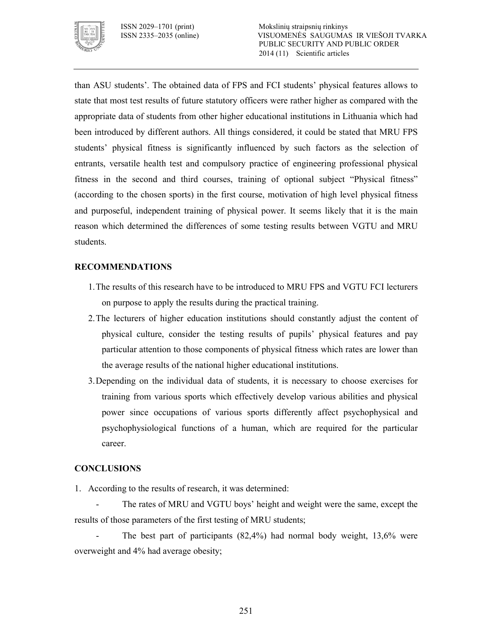

than ASU students'. The obtained data of FPS and FCI students' physical features allows to state that most test results of future statutory officers were rather higher as compared with the appropriate data of students from other higher educational institutions in Lithuania which had been introduced by different authors. All things considered, it could be stated that MRU FPS students' physical fitness is significantly influenced by such factors as the selection of entrants, versatile health test and compulsory practice of engineering professional physical fitness in the second and third courses, training of optional subject "Physical fitness" (according to the chosen sports) in the first course, motivation of high level physical fitness and purposeful, independent training of physical power. It seems likely that it is the main reason which determined the differences of some testing results between VGTU and MRU students.

# **RECOMMENDATIONS**

- 1.The results of this research have to be introduced to MRU FPS and VGTU FCI lecturers on purpose to apply the results during the practical training.
- 2.The lecturers of higher education institutions should constantly adjust the content of physical culture, consider the testing results of pupils' physical features and pay particular attention to those components of physical fitness which rates are lower than the average results of the national higher educational institutions.
- 3.Depending on the individual data of students, it is necessary to choose exercises for training from various sports which effectively develop various abilities and physical power since occupations of various sports differently affect psychophysical and psychophysiological functions of a human, which are required for the particular career.

# **CONCLUSIONS**

- 1. According to the results of research, it was determined:
- The rates of MRU and VGTU boys' height and weight were the same, except the results of those parameters of the first testing of MRU students;

 The best part of participants (82,4%) had normal body weight, 13,6% were overweight and 4% had average obesity;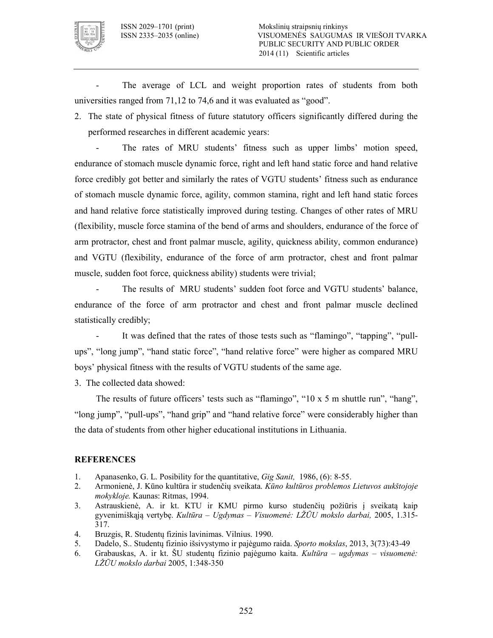

 The average of LCL and weight proportion rates of students from both universities ranged from 71,12 to 74,6 and it was evaluated as "good".

2. The state of physical fitness of future statutory officers significantly differed during the performed researches in different academic years:

 The rates of MRU students' fitness such as upper limbs' motion speed, endurance of stomach muscle dynamic force, right and left hand static force and hand relative force credibly got better and similarly the rates of VGTU students' fitness such as endurance of stomach muscle dynamic force, agility, common stamina, right and left hand static forces and hand relative force statistically improved during testing. Changes of other rates of MRU (flexibility, muscle force stamina of the bend of arms and shoulders, endurance of the force of arm protractor, chest and front palmar muscle, agility, quickness ability, common endurance) and VGTU (flexibility, endurance of the force of arm protractor, chest and front palmar muscle, sudden foot force, quickness ability) students were trivial;

 The results of MRU students' sudden foot force and VGTU students' balance, endurance of the force of arm protractor and chest and front palmar muscle declined statistically credibly;

 It was defined that the rates of those tests such as "flamingo", "tapping", "pull ups", "long jump", "hand static force", "hand relative force" were higher as compared MRU boys' physical fitness with the results of VGTU students of the same age.

3. The collected data showed:

The results of future officers' tests such as "flamingo", "10 x 5 m shuttle run", "hang", "long jump", "pull-ups", "hand grip" and "hand relative force" were considerably higher than the data of students from other higher educational institutions in Lithuania.

### **REFERENCES**

- 1. Apanasenko, G. L. Posibility for the quantitative, *Gig Sanit*, 1986, (6): 8-55.
- 2. Armonienė, J. Kūno kultūra ir studenčių sveikata. *Kūno kultūros problemos Lietuvos aukštojoje mokykloje.* Kaunas: Ritmas, 1994.
- 3. Astrauskienė, A. ir kt. KTU ir KMU pirmo kurso studenčių požiūris į sveikatą kaip gyvenimiškąją vertybę. *Kultūra – Ugdymas – Visuomenė: LŽŪU mokslo darbai,* 2005, 1.315 317.
- 4. Bruzgis, R. Studentų fizinis lavinimas. Vilnius. 1990.
- 5. Dadelo, S.. Studentų fizinio išsivystymo ir pajėgumo raida. *Sporto mokslas*, 2013, 3(73):4349
- 6. Grabauskas, A. ir kt. ŠU studentų fizinio pajėgumo kaita. *Kultūra ugdymas visuomenė: LŽŪU mokslo darbai* 2005, 1:348-350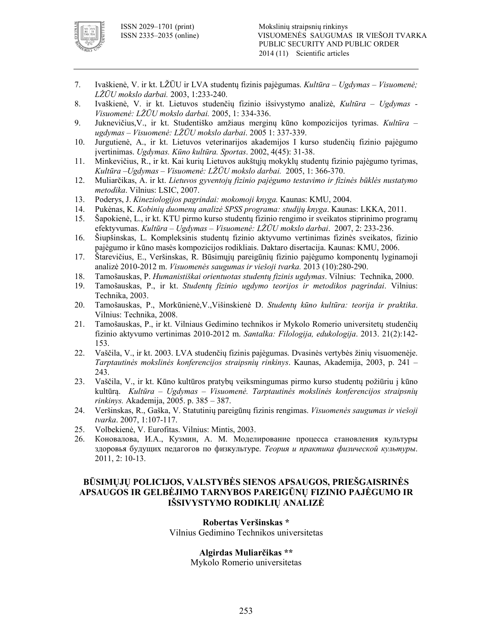

- 7. Ivaškienė, V. ir kt. LŽŪU ir LVA studentų fizinis pajėgumas. *Kultūra Ugdymas Visuomenė; L*ŽŪU mokslo darbai. 2003, 1:233-240.
- 8. Ivaškienė, V. ir kt. Lietuvos studenčių fizinio išsivystymo analizė, *Kultūra Ugdymas !* Visuomenė: LŽŪU mokslo darbai. 2005, 1: 334-336.
- 9. Juknevičius,V., ir kt. Studentiško amžiaus merginų kūno kompozicijos tyrimas. *Kultūra*  ugdymas – Visuomenė: LŽŪU mokslo darbai. 2005 1: 337-339.
- 10. Jurgutienė, A., ir kt. Lietuvos veterinarijos akademijos I kurso studenčių fizinio pajėgumo ivertinimas. *Ugdymas. Kūno kultūra. Sportas.* 2002, 4(45): 31-38.
- 11. Minkevičius, R., ir kt. Kai kurių Lietuvos aukštųjų mokyklų studentų fizinio pajėgumo tyrimas, Kultūra –*Ugdymas – Visuomenė: LŽŪU mokslo darbai.* 2005, 1: 366-370.
- 12. Muliarčikas, A. ir kt. *Lietuvos gyventojų fizinio pajėgumo testavimo ir fizinės būklės nustatymo metodika*. Vilnius: LSIC, 2007.
- 13. Poderys, J. *Kineziologijos pagrindai: mokomoji knyga.* Kaunas: KMU, 2004.
- 14. Pukėnas, K. *Kobinių duomenų analizė SPSS programa: studijų knyga*. Kaunas: LKKA, 2011.
- 15. Šapokienė, L., ir kt. KTU pirmo kurso studentų fizinio rengimo ir sveikatos stiprinimo programų efektyvumas. *Kultūra – Ugdymas – Visuomenė: LŽŪU mokslo darbai*. 2007, 2: 233236.
- 16. Šiupšinskas, L. Kompleksinis studentų fizinio aktyvumo vertinimas fizinės sveikatos, fizinio pajėgumo ir kūno masės kompozicijos rodikliais. Daktaro disertacija. Kaunas: KMU, 2006.
- 17. Štarevičius, E., Veršinskas, R. Būsimųjų pareigūnių fizinio pajėgumo komponentų lyginamoji analizė 2010-2012 m. *Visuomenės saugumas ir viešoji tvarka*. 2013 (10):280-290.
- 18. Tamošauskas, P. *Humanistiškai orientuotas studentų fizinis ugdymas*. Vilnius: Technika, 2000.
- 19. Tamošauskas, P., ir kt. *Studentų fizinio ugdymo teorijos ir metodikos pagrindai*. Vilnius: Technika, 2003.
- 20. Tamošauskas, P., Morkūnienė,V.,Višinskienė D. *Studentų kūno kultūra: teorija ir praktika*. Vilnius: Technika, 2008.
- 21. Tamošauskas, P., ir kt. Vilniaus Gedimino technikos ir Mykolo Romerio universitetų studenčių fizinio aktyvumo vertinimas 2010-2012 m. *Santalka: Filologija, edukologija*. 2013. 21(2):142-153.
- 22. Vaščila, V., ir kt. 2003. LVA studenčių fizinis pajėgumas. Dvasinės vertybės žinių visuomenėje. *Tarptautinės mokslinės konferencijos straipsnių rinkinys*. Kaunas, Akademija, 2003, p. 241 – 243.
- 23. Vaščila, V., ir kt. Kūno kultūros pratybų veiksmingumas pirmo kurso studentų požiūriu į kūno kultūrą. *Kultūra – Ugdymas – Visuomenė. Tarptautinės mokslinės konferencijos straipsnių rinkinys.* Akademija, 2005. p. 385 – 387.
- 24. Veršinskas, R., Gaška, V. Statutinių pareigūnų fizinis rengimas. *Visuomenės saugumas ir viešoji tvarka.* 2007, 1:107-117.
- 25. Volbekienė, V. Eurofitas. Vilnius: Mintis, 2003.
- 26. Коновалова, И.А., Кузмин, А. М. Моделирование процесса становления культуры здоровья будущих педагогов по физкультуре. *Теория и практика физической культуры*. 2011, 2: 10-13.

### **BŪSIMŲJŲ POLICIJOS, VALSTYBĖS SIENOS APSAUGOS, PRIEŠGAISRINĖS APSAUGOS IR GELBĖJIMO TARNYBOS PAREIGŪNŲ FIZINIO PAJĖGUMO IR IŠSIVYSTYMO RODIKLIŲ ANALIZĖ**

#### **Robertas Veršinskas \***  Vilnius Gedimino Technikos universitetas

## **Algirdas Muliarčikas \*\***

Mykolo Romerio universitetas